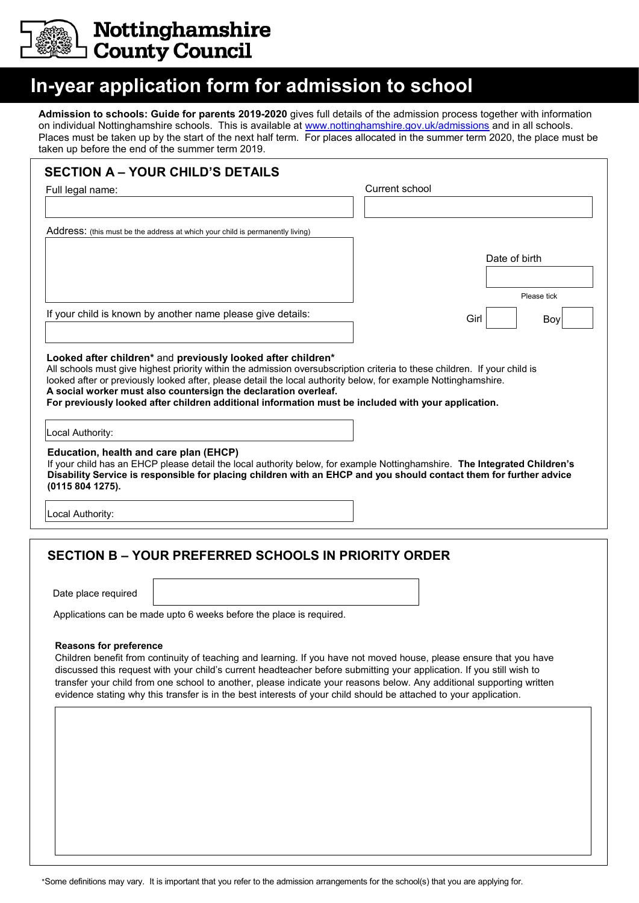

**Nottinghamshire<br>County Council** 

## **In-year application form for admission to school**

**Admission to schools: Guide for parents 2019-2020** gives full details of the admission process together with information on individual Nottinghamshire schools. This is available at [www.nottinghamshire.gov.uk/admissions](http://www.nottinghamshire.gov.uk/admissions) and in all schools. Places must be taken up by the start of the next half term. For places allocated in the summer term 2020, the place must be taken up before the end of the summer term 2019.

|                                                            |                                                                                                                                                                                                                                                                                          | Current school |               |
|------------------------------------------------------------|------------------------------------------------------------------------------------------------------------------------------------------------------------------------------------------------------------------------------------------------------------------------------------------|----------------|---------------|
|                                                            |                                                                                                                                                                                                                                                                                          |                |               |
|                                                            | Address: (this must be the address at which your child is permanently living)                                                                                                                                                                                                            |                |               |
|                                                            |                                                                                                                                                                                                                                                                                          |                | Date of birth |
|                                                            |                                                                                                                                                                                                                                                                                          |                |               |
|                                                            |                                                                                                                                                                                                                                                                                          |                | Please tick   |
|                                                            | If your child is known by another name please give details:                                                                                                                                                                                                                              |                |               |
|                                                            |                                                                                                                                                                                                                                                                                          | Girl           | Boy           |
| Local Authority:                                           | looked after or previously looked after, please detail the local authority below, for example Nottinghamshire.<br>A social worker must also countersign the declaration overleaf.<br>For previously looked after children additional information must be included with your application. |                |               |
| Education, health and care plan (EHCP)<br>(0115 804 1275). | If your child has an EHCP please detail the local authority below, for example Nottinghamshire. The Integrated Children's<br>Disability Service is responsible for placing children with an EHCP and you should contact them for further advice                                          |                |               |
|                                                            |                                                                                                                                                                                                                                                                                          |                |               |
|                                                            |                                                                                                                                                                                                                                                                                          |                |               |
|                                                            | <b>SECTION B - YOUR PREFERRED SCHOOLS IN PRIORITY ORDER</b>                                                                                                                                                                                                                              |                |               |
| Date place required                                        |                                                                                                                                                                                                                                                                                          |                |               |
| Local Authority:                                           | Applications can be made upto 6 weeks before the place is required.                                                                                                                                                                                                                      |                |               |